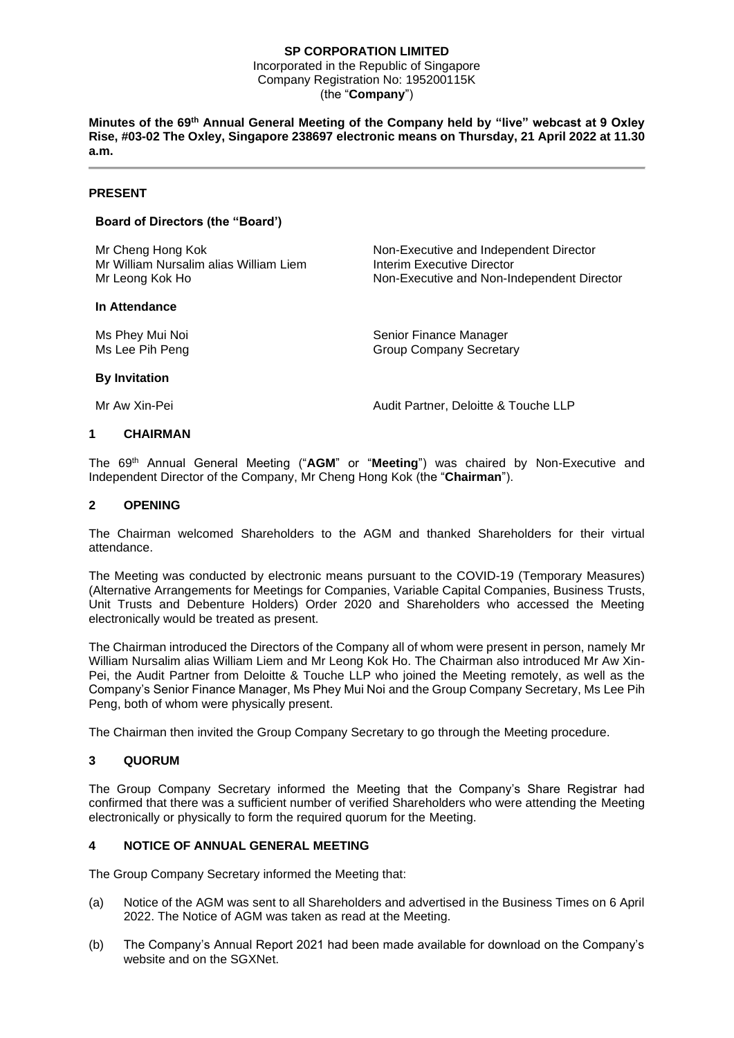## **SP CORPORATION LIMITED**

Incorporated in the Republic of Singapore Company Registration No: 195200115K (the "**Company**")

**Minutes of the 69th Annual General Meeting of the Company held by "live" webcast at 9 Oxley Rise, #03-02 The Oxley, Singapore 238697 electronic means on Thursday, 21 April 2022 at 11.30 a.m.**

#### **PRESENT**

## **Board of Directors (the "Board')**

Mr Cheng Hong Kok Non-Executive and Independent Director Mr William Nursalim alias William Liem **Interim Executive Director**<br>Mr Leong Kok Ho<br>Interior Inter-Executive and Non-In

#### **In Attendance**

Non-Executive and Non-Independent Director

Ms Phey Mui Noi **Senior Finance Manager** Senior Finance Manager Ms Lee Pih Peng Group Company Secretary

#### **By Invitation**

Mr Aw Xin-Pei **Audit Partner, Deloitte & Touche LLP** 

### **1 CHAIRMAN**

The 69th Annual General Meeting ("**AGM**" or "**Meeting**") was chaired by Non-Executive and Independent Director of the Company, Mr Cheng Hong Kok (the "**Chairman**").

### **2 OPENING**

The Chairman welcomed Shareholders to the AGM and thanked Shareholders for their virtual attendance.

The Meeting was conducted by electronic means pursuant to the COVID-19 (Temporary Measures) (Alternative Arrangements for Meetings for Companies, Variable Capital Companies, Business Trusts, Unit Trusts and Debenture Holders) Order 2020 and Shareholders who accessed the Meeting electronically would be treated as present.

The Chairman introduced the Directors of the Company all of whom were present in person, namely Mr William Nursalim alias William Liem and Mr Leong Kok Ho. The Chairman also introduced Mr Aw Xin-Pei, the Audit Partner from Deloitte & Touche LLP who joined the Meeting remotely, as well as the Company's Senior Finance Manager, Ms Phey Mui Noi and the Group Company Secretary, Ms Lee Pih Peng, both of whom were physically present.

The Chairman then invited the Group Company Secretary to go through the Meeting procedure.

## **3 QUORUM**

The Group Company Secretary informed the Meeting that the Company's Share Registrar had confirmed that there was a sufficient number of verified Shareholders who were attending the Meeting electronically or physically to form the required quorum for the Meeting.

## **4 NOTICE OF ANNUAL GENERAL MEETING**

The Group Company Secretary informed the Meeting that:

- (a) Notice of the AGM was sent to all Shareholders and advertised in the Business Times on 6 April 2022. The Notice of AGM was taken as read at the Meeting.
- (b) The Company's Annual Report 2021 had been made available for download on the Company's website and on the SGXNet.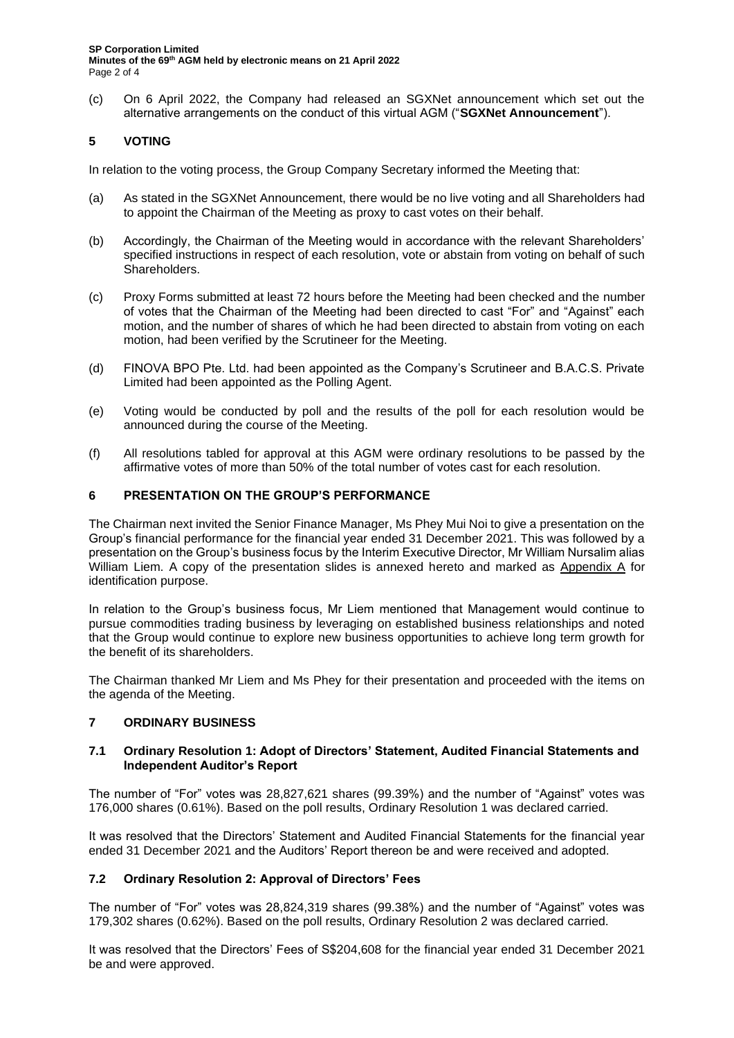(c) On 6 April 2022, the Company had released an SGXNet announcement which set out the alternative arrangements on the conduct of this virtual AGM ("**SGXNet Announcement**").

# **5 VOTING**

In relation to the voting process, the Group Company Secretary informed the Meeting that:

- (a) As stated in the SGXNet Announcement, there would be no live voting and all Shareholders had to appoint the Chairman of the Meeting as proxy to cast votes on their behalf.
- (b) Accordingly, the Chairman of the Meeting would in accordance with the relevant Shareholders' specified instructions in respect of each resolution, vote or abstain from voting on behalf of such Shareholders.
- (c) Proxy Forms submitted at least 72 hours before the Meeting had been checked and the number of votes that the Chairman of the Meeting had been directed to cast "For" and "Against" each motion, and the number of shares of which he had been directed to abstain from voting on each motion, had been verified by the Scrutineer for the Meeting.
- (d) FINOVA BPO Pte. Ltd. had been appointed as the Company's Scrutineer and B.A.C.S. Private Limited had been appointed as the Polling Agent.
- (e) Voting would be conducted by poll and the results of the poll for each resolution would be announced during the course of the Meeting.
- (f) All resolutions tabled for approval at this AGM were ordinary resolutions to be passed by the affirmative votes of more than 50% of the total number of votes cast for each resolution.

### **6 PRESENTATION ON THE GROUP'S PERFORMANCE**

The Chairman next invited the Senior Finance Manager, Ms Phey Mui Noi to give a presentation on the Group's financial performance for the financial year ended 31 December 2021. This was followed by a presentation on the Group's business focus by the Interim Executive Director, Mr William Nursalim alias William Liem. A copy of the presentation slides is annexed hereto and marked as Appendix A for identification purpose.

In relation to the Group's business focus, Mr Liem mentioned that Management would continue to pursue commodities trading business by leveraging on established business relationships and noted that the Group would continue to explore new business opportunities to achieve long term growth for the benefit of its shareholders.

The Chairman thanked Mr Liem and Ms Phey for their presentation and proceeded with the items on the agenda of the Meeting.

## **7 ORDINARY BUSINESS**

### **7.1 Ordinary Resolution 1: Adopt of Directors' Statement, Audited Financial Statements and Independent Auditor's Report**

The number of "For" votes was 28,827,621 shares (99.39%) and the number of "Against" votes was 176,000 shares (0.61%). Based on the poll results, Ordinary Resolution 1 was declared carried.

It was resolved that the Directors' Statement and Audited Financial Statements for the financial year ended 31 December 2021 and the Auditors' Report thereon be and were received and adopted.

## **7.2 Ordinary Resolution 2: Approval of Directors' Fees**

The number of "For" votes was 28,824,319 shares (99.38%) and the number of "Against" votes was 179,302 shares (0.62%). Based on the poll results, Ordinary Resolution 2 was declared carried.

It was resolved that the Directors' Fees of S\$204,608 for the financial year ended 31 December 2021 be and were approved.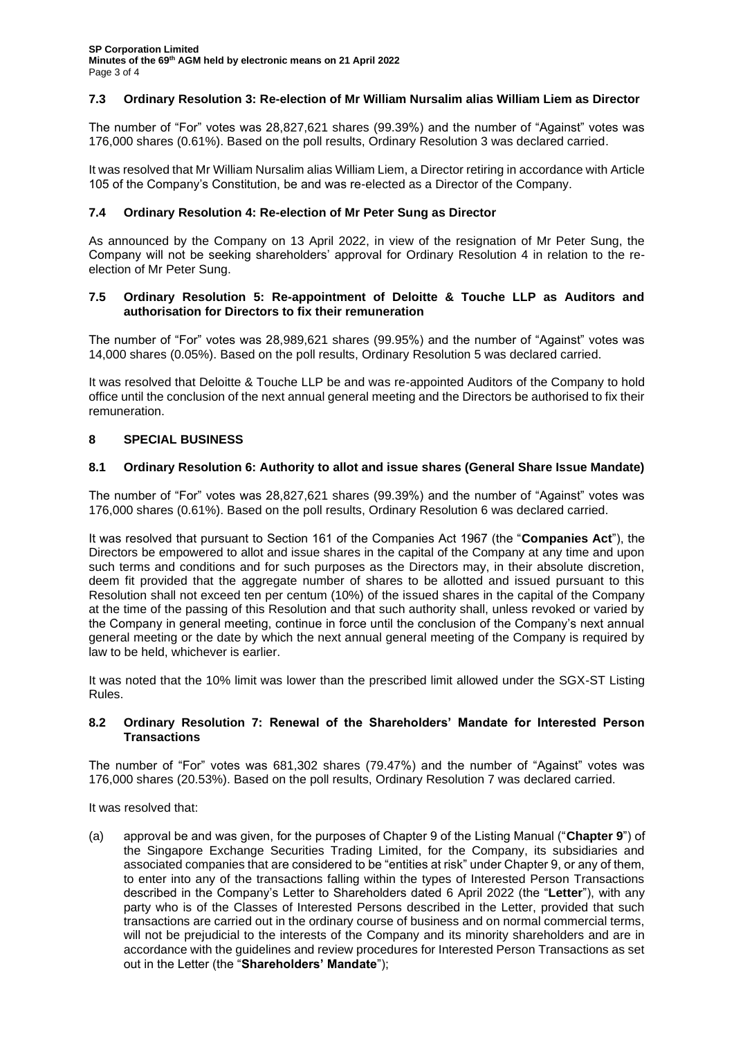# **7.3 Ordinary Resolution 3: Re-election of Mr William Nursalim alias William Liem as Director**

The number of "For" votes was 28,827,621 shares (99.39%) and the number of "Against" votes was 176,000 shares (0.61%). Based on the poll results, Ordinary Resolution 3 was declared carried.

It was resolved that Mr William Nursalim alias William Liem, a Director retiring in accordance with Article 105 of the Company's Constitution, be and was re-elected as a Director of the Company.

## **7.4 Ordinary Resolution 4: Re-election of Mr Peter Sung as Director**

As announced by the Company on 13 April 2022, in view of the resignation of Mr Peter Sung, the Company will not be seeking shareholders' approval for Ordinary Resolution 4 in relation to the reelection of Mr Peter Sung.

### **7.5 Ordinary Resolution 5: Re-appointment of Deloitte & Touche LLP as Auditors and authorisation for Directors to fix their remuneration**

The number of "For" votes was 28,989,621 shares (99.95%) and the number of "Against" votes was 14,000 shares (0.05%). Based on the poll results, Ordinary Resolution 5 was declared carried.

It was resolved that Deloitte & Touche LLP be and was re-appointed Auditors of the Company to hold office until the conclusion of the next annual general meeting and the Directors be authorised to fix their remuneration.

## **8 SPECIAL BUSINESS**

### **8.1 Ordinary Resolution 6: Authority to allot and issue shares (General Share Issue Mandate)**

The number of "For" votes was 28,827,621 shares (99.39%) and the number of "Against" votes was 176,000 shares (0.61%). Based on the poll results, Ordinary Resolution 6 was declared carried.

It was resolved that pursuant to Section 161 of the Companies Act 1967 (the "**Companies Act**"), the Directors be empowered to allot and issue shares in the capital of the Company at any time and upon such terms and conditions and for such purposes as the Directors may, in their absolute discretion, deem fit provided that the aggregate number of shares to be allotted and issued pursuant to this Resolution shall not exceed ten per centum (10%) of the issued shares in the capital of the Company at the time of the passing of this Resolution and that such authority shall, unless revoked or varied by the Company in general meeting, continue in force until the conclusion of the Company's next annual general meeting or the date by which the next annual general meeting of the Company is required by law to be held, whichever is earlier.

It was noted that the 10% limit was lower than the prescribed limit allowed under the SGX-ST Listing Rules.

### **8.2 Ordinary Resolution 7: Renewal of the Shareholders' Mandate for Interested Person Transactions**

The number of "For" votes was 681,302 shares (79.47%) and the number of "Against" votes was 176,000 shares (20.53%). Based on the poll results, Ordinary Resolution 7 was declared carried.

It was resolved that:

(a) approval be and was given, for the purposes of Chapter 9 of the Listing Manual ("**Chapter 9**") of the Singapore Exchange Securities Trading Limited, for the Company, its subsidiaries and associated companies that are considered to be "entities at risk" under Chapter 9, or any of them, to enter into any of the transactions falling within the types of Interested Person Transactions described in the Company's Letter to Shareholders dated 6 April 2022 (the "**Letter**"), with any party who is of the Classes of Interested Persons described in the Letter, provided that such transactions are carried out in the ordinary course of business and on normal commercial terms, will not be prejudicial to the interests of the Company and its minority shareholders and are in accordance with the guidelines and review procedures for Interested Person Transactions as set out in the Letter (the "**Shareholders' Mandate**");